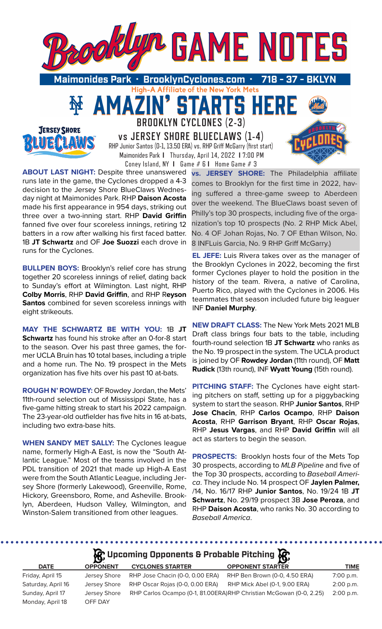

TARTS HE



**BROOKLYN CYCLONES (2-3) vs JERSEY SHORE BLUECLAWS (1-4)** RHP Junior Santos (0-1, 13.50 ERA) vs. RHP Griff McGarry (first start) Maimonides Park **I** Thursday, April 14, 2022 **I** 7:00 PM Coney Island, NY **I** Game # 6 **I** Home Game # 3

51

**ABOUT LAST NIGHT:** Despite three unanswered runs late in the game, the Cyclones dropped a 4-3 decision to the Jersey Shore BlueClaws Wednesday night at Maimonides Park. RHP **Daison Acosta**  made his first appearance in 954 days, striking out three over a two-inning start. RHP **David Griffin** fanned five over four scoreless innings, retiring 12 batters in a row after walking his first faced batter. 1B **JT Schwartz** and OF **Joe Suozzi** each drove in runs for the Cyclones.

AMAZ

**BULLPEN BOYS: Brooklyn's relief core has strung** together 20 scoreless innings of relief, dating back to Sunday's effort at Wilmington. Last night, RHP **Colby Morris**, RHP **David Griffin**, and RHP R**eyson Santos** combined for seven scoreless innings with eight strikeouts.

**MAY THE SCHWARTZ BE WITH YOU:** 1B **JT Schwartz** has found his stroke after an 0-for-8 start to the season. Over his past three games, the former UCLA Bruin has 10 total bases, including a triple and a home run. The No. 19 prospect in the Mets organization has five hits over his past 10 at-bats.

**ROUGH N' ROWDEY:** OF Rowdey Jordan, the Mets' 11th-round selection out of Mississippi State, has a five-game hitting streak to start his 2022 campaign. The 23-year-old outfielder has five hits in 16 at-bats, including two extra-base hits.

**WHEN SANDY MET SALLY:** The Cyclones league name, formerly High-A East, is now the "South Atlantic League." Most of the teams involved in the PDL transition of 2021 that made up High-A East were from the South Atlantic League, including Jersey Shore (formerly Lakewood), Greenville, Rome, Hickory, Greensboro, Rome, and Asheville. Brooklyn, Aberdeen, Hudson Valley, Wilmington, and Winston-Salem transitioned from other leagues.

**vs. JERSEY SHORE:** The Philadelphia affiliate comes to Brooklyn for the first time in 2022, having suffered a three-game sweep to Aberdeen over the weekend. The BlueClaws boast seven of Philly's top 30 prospects, including five of the organization's top 10 prospects (No. 2 RHP Mick Abel, No. 4 OF Johan Rojas, No. 7 OF Ethan Wilson, No. 8 INFLuis Garcia, No. 9 RHP Griff McGarry.)

**EL JEFE:** Luis Rivera takes over as the manager of the Brooklyn Cyclones in 2022, becoming the first former Cyclones player to hold the position in the history of the team. Rivera, a native of Carolina, Puerto Rico, played with the Cyclones in 2006. His teammates that season included future big leaguer INF **Daniel Murphy**.

**NEW DRAFT CLASS:** The New York Mets 2021 MLB Draft class brings four bats to the table, including fourth-round selection 1B **JT Schwartz** who ranks as the No. 19 prospect in the system. The UCLA product is joined by OF **Rowdey Jordan** (11th round), OF **Matt Rudick** (13th round), INF **Wyatt Young** (15th round).

**PITCHING STAFF:** The Cyclones have eight starting pitchers on staff, setting up for a piggybacking system to start the season. RHP **Junior Santos**, RHP **Jose Chacin**, RHP **Carlos Ocampo**, RHP **Daison Acosta**, RHP **Garrison Bryant**, RHP **Oscar Rojas**, RHP **Jesus Vargas**, and RHP **David Griffin** will all act as starters to begin the season.

**PROSPECTS:** Brooklyn hosts four of the Mets Top 30 prospects, according to *MLB Pipeline* and five of the Top 30 prospects, according to *Baseball America*. They include No. 14 prospect OF **Jaylen Palmer,** /14, No. 16/17 RHP **Junior Santos**, No. 19/24 1B **JT Schwartz**, No. 29/19 prospect 3B **Jose Peroza**, and RHP **Daison Acosta**, who ranks No. 30 according to *Baseball America*.

# **Incoming Opponents & Probable Pitching**

. . . . . . . .

| W showing abbancing a Linnanic Liming W |                         |                                 |                                                                    |             |  |  |  |  |  |  |
|-----------------------------------------|-------------------------|---------------------------------|--------------------------------------------------------------------|-------------|--|--|--|--|--|--|
| <b>DATE</b>                             | <b>OPPONENT</b>         | <b>CYCLONES STARTER</b>         | <b>OPPONENT STARTER</b>                                            | <b>TIME</b> |  |  |  |  |  |  |
| Friday, April 15                        | Jersey Shore            | RHP Jose Chacin (0-0, 0.00 ERA) | RHP Ben Brown (0-0, 4.50 ERA)                                      | 7:00 p.m.   |  |  |  |  |  |  |
| Saturday, April 16                      | Jersey Shore            | RHP Oscar Rojas (0-0, 0.00 ERA) | RHP Mick Abel (0-1, 9.00 ERA)                                      | 2:00 p.m.   |  |  |  |  |  |  |
| Sunday, April 17<br>Monday, April 18    | Jersey Shore<br>OFF DAY |                                 | RHP Carlos Ocampo (0-1, 81.00ERA)RHP Christian McGowan (0-0, 2.25) | 2:00 p.m.   |  |  |  |  |  |  |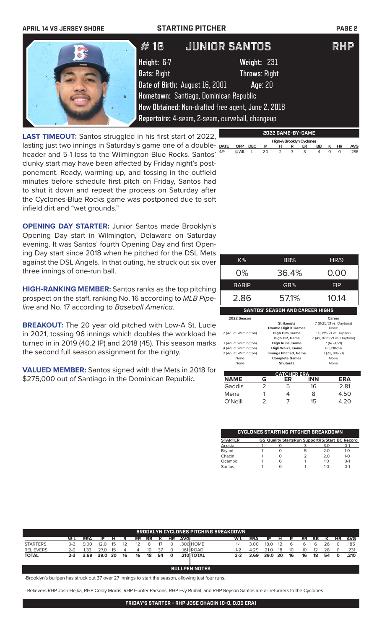

**LAST TIMEOUT:** Santos struggled in his first start of 2022, lasting just two innings in Saturday's game one of a double- DATE header and 5-1 loss to the Wilmington Blue Rocks. Santos'  $49$ clunky start may have been affected by Friday night's postponement. Ready, warming up, and tossing in the outfield minutes before schedule first pitch on Friday, Santos had to shut it down and repeat the process on Saturday after the Cyclones-Blue Rocks game was postponed due to soft infield dirt and "wet grounds."

**OPENING DAY STARTER: Junior Santos made Brooklyn's** Opening Day start in Wilmington, Delaware on Saturday evening. It was Santos' fourth Opening Day and first Opening Day start since 2018 when he pitched for the DSL Mets against the DSL Angels. In that outing, he struck out six over three innings of one-run ball.

**HIGH-RANKING MEMBER:** Santos ranks as the top pitching prospect on the staff, ranking No. 16 according to *MLB Pipeline* and No. 17 according to *Baseball America*.

**BREAKOUT:** The 20 year old pitched with Low-A St. Lucie in 2021, tossing 96 innings which doubles the workload he turned in in 2019 (40.2 IP) and 2018 (45). This season marks the second full season assignment for the righty.

**VALUED MEMBER:** Santos signed with the Mets in 2018 for \$275,000 out of Santiago in the Dominican Republic.

| K%                                             |   | BB%                                                                 |     | HR/9                                                       |
|------------------------------------------------|---|---------------------------------------------------------------------|-----|------------------------------------------------------------|
| 0%                                             |   | 36.4%                                                               |     | 0.00                                                       |
| <b>BABIP</b>                                   |   | GB%                                                                 |     | <b>FIP</b>                                                 |
| 2.86                                           |   | 57.1%                                                               |     | 10.14                                                      |
|                                                |   | <b>SANTOS' SEASON AND CAREER HIGHS</b>                              |     |                                                            |
| 2022 Season                                    |   |                                                                     |     | Career                                                     |
| 2 (4/9 at Wilmington)                          |   | <b>Strikeouts</b><br><b>Double Digit K Games</b><br>High Hits, Game |     | 7 (8/25/21 vs. Daytona)<br>None<br>9 (9/15/21 vs. Jupiter) |
| 3 (4/9 at Wilmington)                          |   | High HR, Game<br>High Runs, Game                                    |     | 2 (4x, 8/25/21 vs. Daytona)<br>7 (6/24/21)                 |
| 4 (4/9 at Wilmington)<br>2 (4/9 at Wilmington) |   | <b>High Walks, Game</b><br><b>Innings Pitched, Game</b>             |     | 6 (8/18/19)<br>7 (2x, 9/8/21)                              |
| None<br>None                                   |   | <b>Complete Games</b><br><b>Shutouts</b>                            |     | None<br>None                                               |
|                                                |   | <b>CATCHER ERA</b>                                                  |     |                                                            |
| NAME                                           | G | ER                                                                  | INN | ERA                                                        |
| Gaddis                                         | 2 | 5                                                                   | 16  | 2.81                                                       |

**High-A Brooklyn Cyclone CPP DEC IP H R ER** 

**DATE OPP DEC IP H R ER BB K HR AVG** 4/9 @ WIL L 2.0 2 3 3 4 0 0 .286

| <b>CYCLONES STARTING PITCHER BREAKDOWN</b> |  |  |                                                       |     |         |  |  |
|--------------------------------------------|--|--|-------------------------------------------------------|-----|---------|--|--|
| <b>STARTER</b>                             |  |  | <b>GS Quality StartsRun SupportRS/Start BC Record</b> |     |         |  |  |
| Acosta                                     |  |  |                                                       | 3.0 | $O-1$   |  |  |
| Bryant                                     |  |  | 5                                                     | 2 O | $1 - 0$ |  |  |
| Chacin                                     |  |  |                                                       | 20  | $1 - 0$ |  |  |
| Ocampo                                     |  |  |                                                       | 1 O | $0 - 1$ |  |  |
| Santos                                     |  |  |                                                       | 1 ∩ | $0 - 1$ |  |  |

Mena 1 4 8 4.50 O'Neill 2 7 15 4.20

| <b>BROOKLYN CYCLONES PITCHING BREAKDOWN</b> |                      |            |         |    |    |    |    |    |              |             |            |         |      |      |     |    |    |    |    |           |            |
|---------------------------------------------|----------------------|------------|---------|----|----|----|----|----|--------------|-------------|------------|---------|------|------|-----|----|----|----|----|-----------|------------|
|                                             | W-L                  | <b>ERA</b> | ΙP      | н  | R  | ER | BB |    | <b>HR</b>    | <b>AVGI</b> |            | W-L     | ERA  | ΙP   | н   | R  | ER | BB | к  | <b>HR</b> | <b>AVG</b> |
| <b>STARTERS</b>                             | 0-3                  | 9.00       | 12.0    | 15 | 12 | 12 | 8  |    |              |             | .300 HOME  | 1-1     | 3.00 | 18.0 | -12 | 6  | 6  | 6  | 26 | 0         | .185       |
| <b>RELIEVERS</b>                            | 2-0                  | 1.33       | 27.0    | 15 |    | 4  | 10 | 37 |              |             | 161 ROAD   | 1-2     | 4.29 | 21.0 | 18  | 10 | 10 | 12 | 28 | $\Omega$  | .231       |
| <b>TOTAL</b>                                | 2-3                  | 3.69       | 39.0 30 |    | 16 | 16 | 18 | 54 | $\mathbf{o}$ |             | .210 TOTAL | $2 - 3$ | 3.69 | 39.0 | -30 | 16 | 16 | 18 | 54 | $\Omega$  | .210       |
|                                             |                      |            |         |    |    |    |    |    |              |             |            |         |      |      |     |    |    |    |    |           |            |
|                                             |                      |            |         |    |    |    |    |    |              |             |            |         |      |      |     |    |    |    |    |           |            |
|                                             | <b>BULLPEN NOTES</b> |            |         |    |    |    |    |    |              |             |            |         |      |      |     |    |    |    |    |           |            |

-Brooklyn's bullpen has struck out 37 over 27 innings to start the season, allowing just four runs.

- Relievers RHP Josh Hejka, RHP Colby Morris, RHP Hunter Parsons, RHP Evy Ruibal, and RHP Reyson Santos are all returners to the Cyclones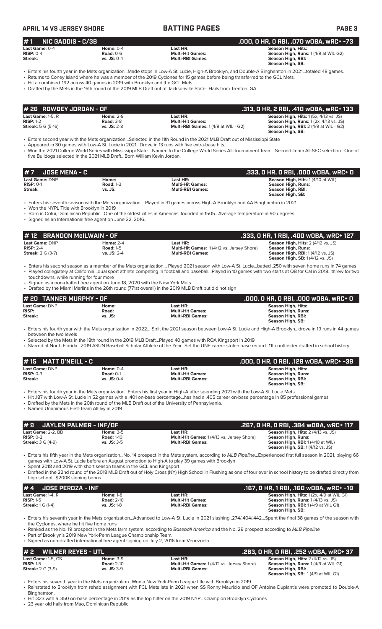### **APRIL 14 VS JERSEY SHORE BATTING PAGES PAGE 3 # 7 JOSE MENA - C .333, 0 HR, 0 RBI, .000 wOBA, wRC+ 0 Last Game:** DNP **Home: Last HR: Season High, Hits:** 1 (4/10 at WIL) **RISP:** 0-1 **Road:** 1-3 **Multi-Hit Games: Season High, Runs: Streak: vs. JS: Multi-RBI Games: Season High, RBI: Season High, SB:**  • Enters his seventh season with the Mets organization… Played in 31 games across High-A Brooklyn and AA Binghamton in 2021 • Won the NYPL Title with Brooklyn in 2019 • Born in Cotui, Dominican Republic…One of the oldest cities in Americas, founded in 1505…Average temperature in 90 degrees. • Signed as an International free agent on June 22, 2016… **Last Game:** DNP **Home: Last HR: Season High, Hits: RISP: Road: Multi-Hit Games: Season High, Runs: Streak: vs. JS: Multi-RBI Games: Season High, RBI: Season High, SB:**  • Enters his fourth year with the Mets organization in 2022… Split the 2021 season between Low-A St. Lucie and High-A Brooklyn…drove in 19 runs in 44 games between the two levels • Selected by the Mets in the 18th round in the 2019 MLB Draft…Played 40 games with ROA Kingsport in 2019 • Starred at North Florida…2019 ASUN Baseball Scholar Athlete of the Year…Set the UNF career stolen base record…11th outfielder drafted in school history. **# 20 TANNER MURPHY - OF .000, 0 HR, 0 RBI, .000 wOBA, wRC+ 0 # 1 NIC GADDIS - C/3B .000, 0 HR, 0 RBI, .070 wOBA, wRC+ -73 Last Game:** 0-4 **Home:** 0-4 **Last HR: Season High, Hits: RISP:** 0-4 **Road:** 0-6 **Multi-Hit Games: Season High, Runs:** 1 (4/9 at WIL G2) **Streak: vs. JS:** 0-4 **Multi-RBI Games: Season High, RBI: Season High, SB:**  • Enters his fourth year in the Mets organization...Made stops in Low-A St. Lucie, High-A Brooklyn, and Double-A Binghamton in 2021…totaled 48 games. • Returns to Coney Island where he was a member of the 2019 Cyclones for 15 games before being transferred to the GCL Mets. • Hit a combined .192 across 40 games in 2019 with Brooklyn and the GCL Mets • Drafted by the Mets in the 16th round of the 2019 MLB Draft out of Jacksonville State...Hails from Trenton, GA. **Last Game: 1-5, R**<br>**RISP: 1-2 Rise Risp: 1-2 Road: 3-8 Multi-Hit Games: 1 (4/9 at WIL - G2) Season High, Runs: 1 (2x, 4/13 vs. JS<br><b>Streak: 5** G (5-16) **Streak: 5 G (5-16) Season Streak: 5 G (5-16) Season Streak: RISP:** 1-2 **Road:** 3-8 **Multi-Hit Games: Season High, Runs:** 1 (2x, 4/13 vs. JS) **Streak:** 5 G (5-16) **vs. JS:** 2-8 **Multi-RBI Games:** 1 (4/9 at WIL - G2) **Season High, RBI:** 2 (4/9 at WIL - G2) **Season High, SB:**  • Enters second year with the Mets organization…Selected in the 11th Round in the 2021 MLB Draft out of Mississippi State • Appeared in 30 games with Low-A St. Lucie in 2021…Drove in 13 runs with five extra-base hits… • Won the 2021 College World Series with Mississippi State….Named to the College World Series All-Tournament Team…Second-Team All-SEC selection…One of five Bulldogs selected in the 2021 MLB Draft…Born William Kevin Jordan. **# 26 ROWDEY JORDAN - OF .313, 0 HR, 2 RBI, .410 wOBA, wRC+ 133 Last Game: DNP Home: 2-4 Last HR: Last HR: Season High, Hits: 2 (4/12 vs. 1898)**<br> **RISP:** 2-4 **RISP: 2-4 Road:** 1-5 **Multi-Hit Games:** 1 (4/12 vs. Jersey Shore) **Season High, Runs: RISP:** 2-4 **Road:** 1-5 **RISP:** 2-4 **Road:** 1-5 **Multi-Hit Games:** 1 (4/12 vs. Jersey Shore) **Streak:** 2 G (3-7) **vs. JS:** 2-4 **Multi-RBI Games: Season High, RBI:** 1 (4/12 vs. JS)<br>**Season High, RBI:** 1 (4/12 vs. JS) **Season High, SB:** 1 (4/12 vs. JS) • Enters his second season as a member of the Mets organization… Played 2021 season with Low-A St. Lucie…batted .250 with seven home runs in 74 games • Played collegiately at California…dual sport athlete competing in football and baseball…Played in 10 games with two starts at QB for Cal in 2018…threw for two touchdowns, while running for four more Signed as a non-drafted free agent on June 18, 2020 with the New York Mets • Drafted by the Miami Marlins in the 26th round (771st overall) in the 2019 MLB Draft but did not sign **# 12 BRANDON McILWAIN - OF .333, 0 HR, 1 RBI, .400 wOBA, wRC+ 127 Last Game:** DNP **Home:** 0-4 **Last HR: Season High, Hits: RISP:** 0-3 **Road:** 0-1 **Road:** 0-1 **Multi-Hit Games: RISP:** 0-3 **Road:** 0-1 **Road:** 0-1 **Multi-Hit Games: Streak: Streak: Streak: With, RISP:** 0-4 **Multi-RBI Games: Streak: Multi-RBI Games: With Streak: vs. JS:** 0-4 **Multi-RBI Games: Season High, RBI: Season High, SB:**  • Enters his fourth year in the Mets organization...Enters his first year in High-A after spending 2021 with the Low-A St. Lucie Mets • Hit .187 with Low-A St. Lucie in 52 games with a .401 on-base percentage...has had a .405 career on-base percentage in 85 professional games • Drafted by the Mets in the 20th round of the MLB Draft out of the University of Pennsylvania. • Named Unanimous First-Team All-Ivy in 2019 **# 15 MATT O'NEILL - C .000, 0 HR, 0 RBI, .128 wOBA, wRC+ -39 # 9 JAYLEN PALMER - INF/OF .267, 0 HR, 0 RBI, .384 wOBA, wRC+ 117 Last Game:** 2-2, BB **Home:** 3-5 **Last HR: <b>Last HR:** Season High, Hits: 2 (4/13 vs. JS)<br> **RISP:** 0-2 **Season High, Runs: Road:** 1-10 **Multi-Hit Games:** 1 (4/13 vs. Jersey Shore) **Season High, Runs: RISP:**  $0.2$  **Road:** 1-10 **Road:** 1-10 **Multi-Hit Games:** 1 (4/13 vs. Jersey Shore) **Streak:** 3 G (4-9) **vs. JS:** 3-5 **Multi-RBI Games: Multi-RBI** Games: **Stream: 11911, 11121 2 (1115 1818)**<br>**Season High, Runs: <br>Season High, RBI:** 1 (4/10 at WIL) **Season High, SB:** 1 (4/12 vs. JS) • Enters his fifth year in the Mets organization...No. 14 prospect in the Mets system, according to *MLB Pipeline*...Experienced first full season in 2021, playing 66 games with Low-A St. Lucie before an August promotion to High-A to play 39 games with Brooklyn • Spent 2018 and 2019 with short season teams in the GCL and Kingsport • Drafted in the 22nd round of the 2018 MLB Draft out of Holy Cross (NY) High School in Flushing as one of four ever in school history to be drafted directly from high school...\$200K signing bonus **# 4 JOSE PEROZA - INF .167, 0 HR, 1 RBI, .160 wOBA, wRC+ -19 Last Game:** 1-4, R **Home:** 1-8 **Last HR: Season High, Hits:** 1 (2x, 4/9 at WIL G1) **RISP:** 1-5 **Road:** 2-10 **Multi-Hit Games: Season High, Runs:** 1 (4/13 vs. JS) **Streak:** 1 G (1-4) **vs. JS:** 1-8 **Multi-RBI Games: Streak: 1 G (1-4) vs. JS:** 1-8 **Multi-RBI Games: Season High, RBI:** 1 (4/9 at WIL G1) **Season High, SB:**  • Enters his seventh year in the Mets organization...Advanced to Low-A St. Lucie in 2021 slashing .274/.404/.442…Spent the final 38 games of the season with the Cyclones, where he hit five home runs • Ranked as the No. 19 prospect in the Mets farm system, according to *Baseball America* and the No. 29 prospect according to *MLB Pipeline* Part of Brooklyn's 2019 New York-Penn League Championship Team. • Signed as non-drafted international free agent signing on July 2, 2016 from Venezuela. **# 2 WILMER REYES - UTL .263, 0 HR, 0 RBI, .252 wOBA, wRC+ 37 Last Game:** 1-5, CS **Home:** 3-9 **Last HR: Season High, Hits:** 2 (4/12 vs. JS)<br> **RISP:** 1-5 **Righ, Runs: 1 (4/12 vs. Jersey Shore) Season High, Runs: 1 (4/9 at WIL G1) RISP: 1-5 <b>Road:** 2-10 **Multi-Hit Games:** 1 (4/12 vs. Jersey Shore) **Read:** 2-10 **Multi-Hit Games:** 1 (4/12 vs. Jersey Shore) **Streak:** 2 G (3-9) **Season High, RBI: Season High, SB:** 1 (4/9 at WIL G1) • Enters his seventh year in the Mets organization...Won a New York-Penn League title with Brooklyn in 2019 • Reinstated to Brooklyn from rehab assignment with FCL Mets late in 2021 when SS Ronny Mauricio and OF Antoine Duplantis were promoted to Double-A Binghamton. • Hit .323 with a .350 on-base percentage in 2019 as the top hitter on the 2019 NYPL Champion Brooklyn Cyclones

23 year old hails from Mao, Dominican Republic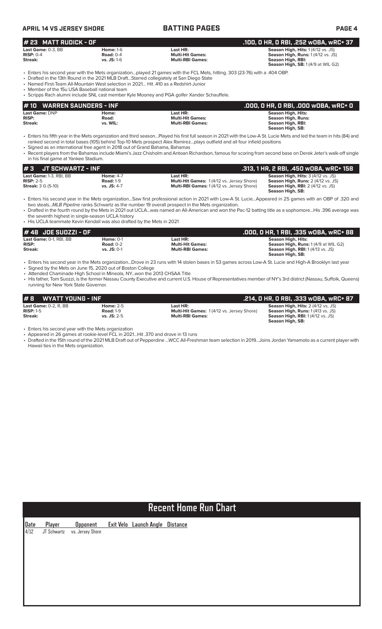| <b>APRIL 14 VS JERSEY SHORE</b>                                                                                                        |                                                     | <b>BATTING PAGES</b>                                                                                                                                                                                                                                                                                                   | PAGE 4                                                                                                                                                                                                                                                                                                                               |
|----------------------------------------------------------------------------------------------------------------------------------------|-----------------------------------------------------|------------------------------------------------------------------------------------------------------------------------------------------------------------------------------------------------------------------------------------------------------------------------------------------------------------------------|--------------------------------------------------------------------------------------------------------------------------------------------------------------------------------------------------------------------------------------------------------------------------------------------------------------------------------------|
| <b>MATT RUDICK - OF</b><br># 23                                                                                                        |                                                     |                                                                                                                                                                                                                                                                                                                        | .100, 0 HR, 0 RBI, .252 w0BA, wRC+ 37                                                                                                                                                                                                                                                                                                |
| Last Game: 0-3. BB<br>$RISP: 0-4$<br>Streak:                                                                                           | <b>Home: 1-6</b><br>Road: $0-4$<br>vs. JS: 1-6      | Last HR:<br><b>Multi-Hit Games:</b><br><b>Multi-RBI Games:</b>                                                                                                                                                                                                                                                         | <b>Season High, Hits: 1 (4/12 vs. JS)</b><br>Season High, Runs: 1 (4/12 vs. JS)<br><b>Season High, RBI:</b><br>Season High, SB: 1 (4/9 at WIL G2)                                                                                                                                                                                    |
| • Named First-Team All-Mountain West selection in 2021 Hit .410 as a Redshirt-Junior<br>• Member of the 15u USA Baseball national team |                                                     | • Enters his second year with the Mets organizationplayed 21 games with the FCL Mets, hitting. 303 (23-76) with a .404 OBP.<br>• Drafted in the 13th Round in the 2021 MLB DraftStarred collegiately at San Diego State<br>• Scripps Rach alumni include SNL cast member Kyle Mooney and PGA golfer Xander Schauffele. |                                                                                                                                                                                                                                                                                                                                      |
| <b>WARREN SAUNDERS - INF</b><br>#10                                                                                                    |                                                     |                                                                                                                                                                                                                                                                                                                        | .000, 0 HR, 0 RBI, .000 w0BA, wRC+ 0                                                                                                                                                                                                                                                                                                 |
| Last Game: DNP<br>RISP:<br><b>Streak:</b>                                                                                              | Home:<br>Road:<br>vs. WIL:                          | Last HR:<br><b>Multi-Hit Games:</b><br><b>Multi-RBI Games:</b>                                                                                                                                                                                                                                                         | <b>Season High, Hits:</b><br><b>Season High, Runs:</b><br><b>Season High, RBI:</b><br><b>Season High, SB:</b>                                                                                                                                                                                                                        |
| • Signed as an international free agent in 2018 out of Grand Bahama, Bahamas<br>in his final game at Yankee Stadium.                   |                                                     | ranked second in total bases (105) behind Top-10 Mets prospect Alex Ramirezplays outfield and all four infield positions                                                                                                                                                                                               | • Enters his fifth year in the Mets organization and third seasonPlayed his first full season in 2021 with the Low-A St. Lucie Mets and led the team in hits (84) and<br>• Recent players from the Bahamas include Miami's Jazz Chisholm and Antoan Richardson, famous for scoring from second base on Derek Jeter's walk-off single |
| <b>JT SCHWARTZ - INF</b><br>#3                                                                                                         |                                                     |                                                                                                                                                                                                                                                                                                                        | .313, 1 HR, 2 RBI, .450 w0BA, wRC+ 158                                                                                                                                                                                                                                                                                               |
| Last Game: 1-3, RBI, BB<br>$RISP: 2-5$<br><b>Streak: 3 G (5-10)</b>                                                                    | <b>Home: 4-7</b><br><b>Road: 1-9</b><br>vs. JS: 4-7 | Last HR:<br>Multi-Hit Games: 1(4/12 vs. Jersey Shore)<br>Multi-RBI Games: 1 (4/12 vs. Jersey Shore)                                                                                                                                                                                                                    | Season High, Hits: 3 (4/12 vs. JS)<br>Season High, Runs: 2 (4/12 vs. JS)<br><b>Season High, RBI: 2 (4/12 vs. JS)</b><br>Season High, SB:                                                                                                                                                                                             |

• Enters his second year in the Mets organization…Saw first professional action in 2021 with Low-A St. Lucie…Appeared in 25 games with an OBP of .320 and two steals...*MLB Pipeline* ranks Schwartz as the number 19 overall prospect in the Mets organization.

• Drafted in the fourth round by the Mets in 2021 out UCLA…was named an All-American and won the Pac-12 batting title as a sophomore…His .396 average was the seventh highest in single-season UCLA history

• His UCLA teammate Kevin Kendall was also drafted by the Mets in 2021

| # 48  JOE SUOZZI - OF   |                  |                         | .000, 0 HR, 1 RBI, .335 w0BA, wRC+ 88      |
|-------------------------|------------------|-------------------------|--------------------------------------------|
| Last Game: 0-1, RBI, BB | <b>Home: 0-1</b> | Last HR:                | Season High, Hits:                         |
| <b>RISP:</b>            | <b>Road: 0-2</b> | <b>Multi-Hit Games:</b> | <b>Season High, Runs: 1(4/9 at WIL G2)</b> |
| Streak:                 | $vs.$ JS: 0-1    | <b>Multi-RBI Games:</b> | <b>Season High, RBI:</b> 1 (4/13 vs. JS)   |
|                         |                  |                         | Season High, SB:                           |

• Enters his second year in the Mets organization...Drove in 23 runs with 14 stolen bases in 53 games across Low-A St. Lucie and High-A Brooklyn last year • Signed by the Mets on June 15, 2020 out of Boston College

• Attended Chaminade High School in Mineola, NY...won the 2013 CHSAA Title

• His father, Tom Suozzi, is the former Nassau County Executive and current U.S. House of Representatives member of NY's 3rd district (Nassau, Suffolk, Queens) running for New York State Governor.

| #B<br><b>WYATT YOUNG - INF</b> |                  |                                                  | .214. O HR. O RBI. .333 wOBA. wRC+ 87     |
|--------------------------------|------------------|--------------------------------------------------|-------------------------------------------|
| Last Game: $0-2$ . R. BB       | <b>Home: 2-5</b> | Last HR:                                         | <b>Season High, Hits: 2 (4/12 vs. JS)</b> |
| $RISP: 1-5$                    | <b>Road: 1-9</b> | <b>Multi-Hit Games:</b> 1(4/12 vs. Jersey Shore) | <b>Season High, Runs: 1 (413 vs. JS)</b>  |
| Streak:                        | $vs.$ JS: 2-5    | <b>Multi-RBI Games:</b>                          | <b>Season High, RBI:</b> 1 (4/12 vs. JS)  |
|                                |                  |                                                  | Season High, SB:                          |

• Enters his second year with the Mets organization

• Appeared in 26 games at rookie-level FCL in 2021…Hit .370 and drove in 13 runs

• Drafted in the 15th round of the 2021 MLB Draft out of Pepperdine …WCC All-Freshman team selection in 2019…Joins Jordan Yamamoto as a current player with Hawaii ties in the Mets organization.

# **Recent Home Run Chart**

**Date Player Opponent Exit Velo Launch Angle Distance** 4/12 JT Schwartz vs. Jersey Shore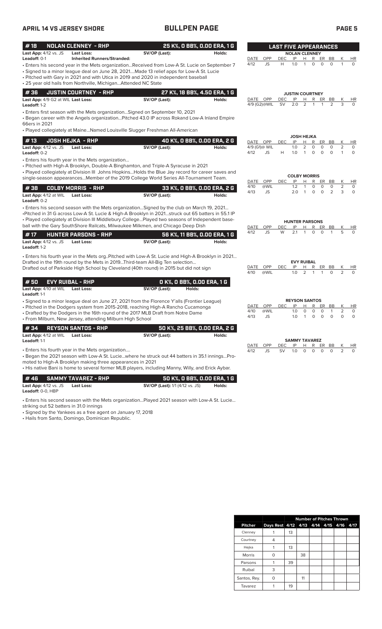### **APRIL 14 VS JERSEY SHORE BULLPEN PAGE PAGE 5**

| #18                                                | <b>NOLAN CLENNEY - RHP</b>                                                                                     |                                                                                                                                                                                                                                                                                                                                                                                      | 25 K%, O BB%, O.OO ERA, 1 G           |                  |                     | <b>LAST FIVE APPEARANCES</b> |                                          |                             |                                         |                    |                        |                       |
|----------------------------------------------------|----------------------------------------------------------------------------------------------------------------|--------------------------------------------------------------------------------------------------------------------------------------------------------------------------------------------------------------------------------------------------------------------------------------------------------------------------------------------------------------------------------------|---------------------------------------|------------------|---------------------|------------------------------|------------------------------------------|-----------------------------|-----------------------------------------|--------------------|------------------------|-----------------------|
| Last App: 4/12 vs. JS<br><b>Leadoff: 0-1</b>       | <b>Last Loss:</b><br><b>Inherited Runners/Stranded:</b>                                                        | SV/OP (Last):                                                                                                                                                                                                                                                                                                                                                                        | Holds:                                | DATE             | OPP                 | DEC                          | <b>NOLAN CLENNEY</b><br>IP               | н                           | R                                       | BB                 |                        |                       |
|                                                    | • 25 year old hails from Northville, MichiganAttended NC State                                                 | Enters his second year in the Mets organizationReceived from Low-A St. Lucie on September 7<br>Signed to a minor league deal on June 28, 2021Made 13 relief apps for Low-A St. Lucie (<br>• Pitched with Gary in 2021 and with Utica in 2019 and 2020 in independent baseball                                                                                                        |                                       | 4/12             | JS                  | H                            | 1.0                                      | 1                           | ER<br>$\circ$<br>$\circ$                | $\circ$            | 1                      | <b>HR</b><br>$\Omega$ |
| #36                                                | <b>JUSTIN COURTNEY - RHP</b>                                                                                   |                                                                                                                                                                                                                                                                                                                                                                                      | 27 K%, 18 BB%, 4.50 ERA, 1 G          |                  |                     |                              | <b>JUSTIN COURTNEY</b>                   |                             |                                         |                    |                        |                       |
| Last App: 4/9 G2 at WIL Last Loss:<br>Leadoff: 1-2 |                                                                                                                | SV/OP (Last):                                                                                                                                                                                                                                                                                                                                                                        | Holds:                                | DATE OPP         | 4/9 (G2)@WIL        | <b>DEC</b><br>SV             | IP<br>2.0                                | н<br>2                      | R<br>ER<br>1<br>1                       | BB<br>2            | K<br>3                 | HR<br>$\Omega$        |
| 66ers in 2021                                      |                                                                                                                | • Enters first season with the Mets organizationSigned on September 10, 2021<br>· Began career with the Angels organizationPitched 43.0 IP across Rokand Low-A Inland Empire<br>· Played collegiately at MaineNamed Louisville Slugger Freshman All-American                                                                                                                         |                                       |                  |                     |                              |                                          |                             |                                         |                    |                        |                       |
|                                                    |                                                                                                                |                                                                                                                                                                                                                                                                                                                                                                                      |                                       |                  |                     |                              | <b>JOSH HEJKA</b>                        |                             |                                         |                    |                        |                       |
| #13<br>Last App: 4/12 vs. JS<br>Leadoff: 0-2       | <b>JOSH HEJKA - RHP</b><br><b>Last Loss:</b>                                                                   | SV/OP (Last):                                                                                                                                                                                                                                                                                                                                                                        | 40 K%, 0 BB%, 0.00 ERA, 2 G<br>Holds: | DATE OPP<br>4/12 | 4/9 (G1)@ WIL<br>JS | <b>DEC</b><br>Н              | IP<br>1.0<br>1.0                         | Н<br>2<br>1                 | R<br>ER<br>$\circ$<br>0<br>0<br>$\circ$ | BB<br>0<br>$\circ$ | Κ<br>2<br>$\mathbf{1}$ | HR<br>0<br>0          |
|                                                    | • Enters his fourth year in the Mets organization                                                              | • Pitched with High-A Brooklyn, Double-A Binghamton, and Triple-A Syracuse in 2021<br>• Played collegiately at Division III Johns HopkinsHolds the Blue Jay record for career saves and<br>single-season appearancesMember of the 2019 College World Series All-Tournament Team.                                                                                                     |                                       |                  |                     |                              | <b>COLBY MORRIS</b>                      |                             |                                         |                    |                        |                       |
| #38                                                | <b>COLBY MORRIS - RHP</b>                                                                                      |                                                                                                                                                                                                                                                                                                                                                                                      | 33 K%, O BB%, O.OO ERA, 2 G           | DATE<br>4/10     | OPP<br>@WIL         | <b>DEC</b>                   | IP<br>1.2                                | н<br>1                      | R<br>ER<br>0<br>0                       | BB<br>0            | K<br>$\overline{2}$    | <b>HR</b><br>0        |
| Last App: 4/12 at WIL<br>Leadoff: 0-2              | <b>Last Loss:</b>                                                                                              | SV/OP (Last):                                                                                                                                                                                                                                                                                                                                                                        | Holds:                                | 4/13             | JS                  |                              | 2.0                                      | $\mathbf{1}$                | 0<br>$\circ$                            | 2                  | 3                      | $\circ$               |
|                                                    |                                                                                                                | . Enters his second season with the Mets organizationSigned by the club on March 19, 2021<br>Pitched in 31 G across Low-A St. Lucie & High-A Brooklyn in 2021struck out 65 batters in 55.1 IP<br>- Played collegiately at Division III Middlebury CollegePlayed two seasons of Independent base-<br>ball with the Gary SouthShore Railcats, Milwaukee Milkmen, and Chicago Deep Dish |                                       | DATE             | OPP                 | DEC                          | <b>HUNTER PARSONS</b><br>IP              | н<br>1                      | R<br>ER                                 | BB<br>1            | Κ<br>5                 | HR                    |
| #17                                                | <b>HUNTER PARSONS - RHP</b>                                                                                    |                                                                                                                                                                                                                                                                                                                                                                                      | 56 K%, 11 BB%, 0.00 ERA, 1 G          | 4/12             | JS                  | W                            | 2.1                                      |                             | 0<br>0                                  |                    |                        | $\Omega$              |
| Last App: 4/12 vs. JS<br>Leadoff: 1-2              | Last Loss:                                                                                                     | SV/OP (Last):                                                                                                                                                                                                                                                                                                                                                                        | Holds:                                |                  |                     |                              |                                          |                             |                                         |                    |                        |                       |
|                                                    |                                                                                                                | . Enters his fourth year in the Mets orgPitched with Low-A St. Lucie and High-A Brooklyn in 2021<br>Drafted in the 19th round by the Mets in 2019Third-team All-Big Ten selection<br>Drafted out of Parkside High School by Cleveland (40th round) in 2015 but did not sign                                                                                                          |                                       | DATE<br>4/10     | OPP<br>@WIL         | DEC                          | IP<br>1.0                                | <b>EVY RUIBAL</b><br>н<br>2 | R<br>ER<br>1<br>1                       | BB<br>0            | К<br>2                 | HR<br>$\Omega$        |
| #50<br>Last App: 4/10 at WIL                       | <b>EVY RUIBAL - RHP</b><br><b>Last Loss:</b>                                                                   | O K%, O BB%, O.OO ERA, 1 G<br>SV/OP (Last):<br>Holds:                                                                                                                                                                                                                                                                                                                                |                                       |                  |                     |                              |                                          |                             |                                         |                    |                        |                       |
| Leadoff: 1-1                                       |                                                                                                                |                                                                                                                                                                                                                                                                                                                                                                                      |                                       |                  |                     |                              |                                          |                             |                                         |                    |                        |                       |
|                                                    | • From Milburn, New Jersey, attending Milburn High School                                                      | • Signed to a minor league deal on June 27, 2021 from the Florence Y'alls (Frontier League)<br>• Pitched in the Dodgers system from 2015-2018, reaching High-A Rancho Cucamonga<br>• Drafted by the Dodgers in the 16th round of the 2017 MLB Draft from Notre Dame                                                                                                                  |                                       | DATE<br>4/10     | OPP<br>@WIL         | DEC                          | <b>REYSON SANTOS</b><br>IP<br>1.0<br>1.0 | н<br>0                      | R<br>ER<br>$\circ$<br>0                 | BB<br>$\mathbf{1}$ | Κ<br>$\overline{2}$    | HR<br>$\circ$         |
| #34                                                | <b>REYSON SANTOS - RHP</b>                                                                                     |                                                                                                                                                                                                                                                                                                                                                                                      | 50 K%, 25 BB%, 0.00 ERA, 2 G          |                  |                     |                              |                                          |                             |                                         |                    |                        |                       |
| Last App: 4/12 at WIL<br>Leadoff: 1-1              | Last Loss:                                                                                                     | SV/OP (Last):                                                                                                                                                                                                                                                                                                                                                                        | Holds:                                |                  |                     |                              | <b>SAMMY TAVAREZ</b>                     |                             |                                         |                    |                        |                       |
|                                                    | • Enters his fourth year in the Mets organization<br>moted to High-A Brooklyn making three appearances in 2021 | - Began the 2021 season with Low-A St. Luciewhere he struck out 44 batters in 35.1 inningsPro-<br>His native Bani is home to several former MLB players, including Manny, Willy, and Erick Aybar. •                                                                                                                                                                                  |                                       | DATE<br>4/12     | OPP<br>JS           | DEC<br>SV                    | IP<br>1.0                                | H.<br>0                     | R<br>ER<br>0<br>0                       | BB<br>0            | К<br>2                 | HR<br>0               |
| #46                                                | <b>SAMMY TAVAREZ - RHP</b>                                                                                     |                                                                                                                                                                                                                                                                                                                                                                                      | 50 K%, O BB%, O.OO ERA, 1 G           |                  |                     |                              |                                          |                             |                                         |                    |                        |                       |
| Last App: 4/12 vs. JS<br>Leadoff: 0-0, HBP         | <b>Last Loss:</b>                                                                                              | <b>SV/OP (Last):</b> 1/1 (4/12 vs. JS)                                                                                                                                                                                                                                                                                                                                               | Holds:                                |                  |                     |                              |                                          |                             |                                         |                    |                        |                       |
| striking out 52 batters in 31.0 innings            |                                                                                                                | . Enters his second season with the Mets organizationPlayed 2021 season with Low-A St. Lucie                                                                                                                                                                                                                                                                                         |                                       |                  |                     |                              |                                          |                             |                                         |                    |                        |                       |

• Signed by the Yankees as a free agent on January 17, 2018

• Hails from Santo, Domingo, Dominican Republic.

|                | <b>Number of Pitches Thrown</b> |    |    |  |  |                     |      |  |
|----------------|---------------------------------|----|----|--|--|---------------------|------|--|
| <b>Pitcher</b> | Days Rest 4/12                  |    |    |  |  | 4/13 4/14 4/15 4/16 | 4/17 |  |
| Clenney        |                                 | 13 |    |  |  |                     |      |  |
| Courtney       |                                 |    |    |  |  |                     |      |  |
| Hejka          |                                 | 13 |    |  |  |                     |      |  |
| Morris         |                                 |    | 38 |  |  |                     |      |  |
| Parsons        |                                 | 39 |    |  |  |                     |      |  |
| Ruibal         | 3                               |    |    |  |  |                     |      |  |
| Santos, Rey.   |                                 |    | 11 |  |  |                     |      |  |
| Tavarez        |                                 | 19 |    |  |  |                     |      |  |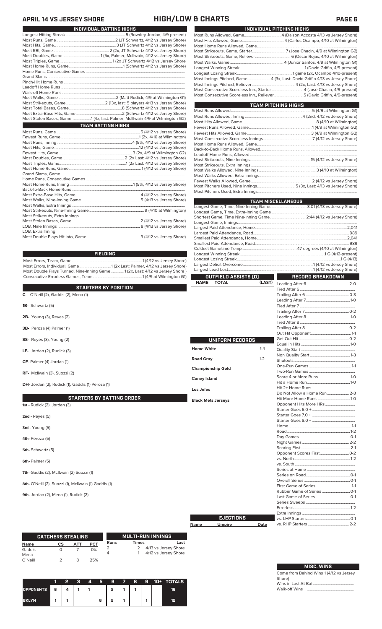# **APRIL 14 VS JERSEY SHORE HIGH/LOW & CHARTS PAGE 6**

|                   | INDIVIDUAL BATTING HIGHS                                                     |
|-------------------|------------------------------------------------------------------------------|
|                   |                                                                              |
|                   |                                                                              |
|                   |                                                                              |
|                   |                                                                              |
|                   |                                                                              |
|                   |                                                                              |
|                   |                                                                              |
|                   |                                                                              |
|                   |                                                                              |
|                   |                                                                              |
|                   |                                                                              |
|                   |                                                                              |
|                   |                                                                              |
|                   |                                                                              |
|                   |                                                                              |
|                   |                                                                              |
|                   | Most Stolen Bases, Game 1 (4x, last: Palmer, McIllwain 4/9 at Wilmington G2) |
|                   | <b>TEAM BATTING HIGHS</b>                                                    |
|                   |                                                                              |
|                   |                                                                              |
|                   |                                                                              |
|                   |                                                                              |
|                   |                                                                              |
|                   |                                                                              |
|                   |                                                                              |
|                   |                                                                              |
|                   |                                                                              |
|                   |                                                                              |
|                   |                                                                              |
|                   |                                                                              |
|                   |                                                                              |
|                   |                                                                              |
|                   |                                                                              |
|                   |                                                                              |
|                   |                                                                              |
|                   |                                                                              |
|                   |                                                                              |
| LOB, Extra Inning |                                                                              |
|                   |                                                                              |

### **FIELDING**

Most Errors, Team, Game......................................................................1 (4/12 vs Jersey Shore) Most Errors, Individual, Game...............................1 (2x Last: Palmer, 4/12 vs Jersey Shore) Most Double Plays Turned, Nine-Inning Game............. 1 (2x, Last: 4/12 vs Jersey Shore ) Consecutive Errorless Games, Team.................................................1 (4/9 at Wilmington G1)

|                                                                        | <b>NAME</b><br><b>IOIAL</b>                     |
|------------------------------------------------------------------------|-------------------------------------------------|
| <b>STARTERS BY POSITION</b><br>O'Neill (2), Gaddis (2), Mena (1)<br>C- |                                                 |
| <b>1B-</b> Schwartz (5)                                                |                                                 |
| <b>2B-</b> Young (3), Reyes (2)                                        |                                                 |
| 3B- Peroza (4) Palmer (1)                                              |                                                 |
| <b>SS-</b> Reyes (3), Young (2)                                        | UNIFORM RECORDS                                 |
| LF- Jordan $(2)$ , Rudick $(3)$                                        | <b>Home White</b>                               |
| CF- Palmer (4) Jordan (1)                                              | <b>Road Gray</b>                                |
| RF- McIlwain (3), Suozzi (2)                                           | <b>Championship Gold</b><br><b>Coney Island</b> |
| DH- Jordan (2), Rudick (1), Gaddis (1) Peroza (1)                      | Los Jefes                                       |
| <b>STARTERS BY BATTING ORDER</b><br>1st - Rudick (2), Jordan (3)       | <b>Black Mets Jerseys</b>                       |
| $2nd$ - Reyes $(5)$                                                    |                                                 |

| ') |                             |  |
|----|-----------------------------|--|
|    |                             |  |
|    |                             |  |
|    |                             |  |
|    |                             |  |
|    |                             |  |
|    |                             |  |
|    |                             |  |
|    |                             |  |
|    |                             |  |
|    |                             |  |
|    |                             |  |
|    |                             |  |
|    |                             |  |
|    |                             |  |
|    |                             |  |
|    |                             |  |
|    | Score 4 or More Runs1-0     |  |
|    |                             |  |
|    |                             |  |
|    | Do Not Allow a Home Run 2-3 |  |
|    | Hit More Home Runs 1-0      |  |
|    | Opponent Hits More HRs      |  |
|    |                             |  |
|    |                             |  |
|    |                             |  |
|    |                             |  |
|    |                             |  |
|    |                             |  |
|    |                             |  |
|    |                             |  |
|    |                             |  |
|    |                             |  |
|    |                             |  |
|    |                             |  |
|    |                             |  |
|    |                             |  |
|    |                             |  |
|    |                             |  |
|    |                             |  |
|    |                             |  |
|    |                             |  |
|    |                             |  |
|    |                             |  |
|    |                             |  |

|                | <b>CATCHERS STEALING</b> |     |            | <b>MULTI-RUN INNINGS</b> |              |                                              |  |  |
|----------------|--------------------------|-----|------------|--------------------------|--------------|----------------------------------------------|--|--|
| <b>Name</b>    | СS                       | АТТ | <b>PCT</b> | Runs                     | <b>Times</b> | Last                                         |  |  |
| Gaddis<br>Mena |                          |     | 0%         |                          |              | 4/13 vs Jersey Shore<br>4/12 vs Jersey Shore |  |  |
| O'Neill        |                          |     | 25%        |                          |              |                                              |  |  |

**3rd -** Young (5) **4th-** Peroza (5) **5th-** Schwartz (5) **6th-** Palmer (5)

**7th-** Gaddis (2), McIlwain (2) Suozzi (1)

**9th-** Jordan (2), Mena (1), Rudick (2)

**8th-** O'Neill (2), Suozzi (1), McIlwain (1) Gaddis (1)

|                  |     | 2 | з | 4 | 6 | 6      | $\sqrt{2}$ | 8 | 9 | 10+ | <b>TOTALS</b> |
|------------------|-----|---|---|---|---|--------|------------|---|---|-----|---------------|
| <b>OPPONENTS</b> | l 6 |   |   |   |   | ,      |            |   |   |     | 16            |
| <b>BKLYN</b>     |     |   |   |   | 6 | ,<br>L |            |   |   |     | 12            |

| INDIVIDUAL PITCHING HIGHS                                                   |  |
|-----------------------------------------------------------------------------|--|
|                                                                             |  |
|                                                                             |  |
|                                                                             |  |
|                                                                             |  |
|                                                                             |  |
|                                                                             |  |
|                                                                             |  |
|                                                                             |  |
| Most Innings Pitched, Game 4 (3x, Last: David Griffin 4/13 vs Jersey Shore) |  |
|                                                                             |  |
|                                                                             |  |
| Most Consecutive Scoreless Inn., Reliever 5 (David Griffin, 4/9-present)    |  |
|                                                                             |  |

| <b>TEAM PITCHING HIGHS</b> |  |
|----------------------------|--|
|                            |  |
|                            |  |
|                            |  |
|                            |  |
|                            |  |
|                            |  |
|                            |  |
|                            |  |
|                            |  |
|                            |  |
|                            |  |
|                            |  |
|                            |  |
|                            |  |
|                            |  |
|                            |  |

|                                       | <b>TEAM MISCELLANEOUS</b>   |
|---------------------------------------|-----------------------------|
|                                       |                             |
|                                       |                             |
|                                       |                             |
|                                       |                             |
|                                       |                             |
|                                       |                             |
|                                       |                             |
|                                       |                             |
|                                       |                             |
|                                       |                             |
|                                       |                             |
|                                       |                             |
| OUTFIELD ASSISTS (0)                  | RECORD BREAKDOWN            |
| <b>NAME</b><br><b>TOTAL</b><br>(LAST) |                             |
|                                       |                             |
|                                       |                             |
|                                       |                             |
|                                       |                             |
|                                       |                             |
|                                       |                             |
|                                       |                             |
|                                       |                             |
|                                       |                             |
| UNIFORM RECORDS                       |                             |
|                                       |                             |
| <b>Home White</b><br>$1 - 1$          |                             |
|                                       |                             |
| $1 - 2$<br><b>Road Gray</b>           |                             |
| <b>Championship Gold</b>              |                             |
|                                       |                             |
| <b>Coney Island</b>                   | Score 4 or More Runs1-0     |
|                                       |                             |
| Los Jefes                             |                             |
|                                       | Do Not Allow a Home Run 2-3 |
| <b>Black Mets Jerseys</b>             | Hit More Home Runs 1-0      |
|                                       | Opponent Hits More HRs      |
|                                       |                             |
|                                       |                             |
|                                       |                             |
|                                       |                             |
|                                       |                             |
|                                       |                             |
|                                       |                             |
|                                       |                             |
|                                       |                             |
|                                       |                             |
|                                       |                             |
|                                       |                             |
|                                       |                             |
|                                       |                             |
|                                       |                             |
|                                       |                             |

**Name Umpire Date EJECTIONS**

### **MISC. WINS**

Come from Behind Wins 1 (4/12 vs Jersey Shore) Wins in Last At-Bat......................................... Walk-off Wins ...............................................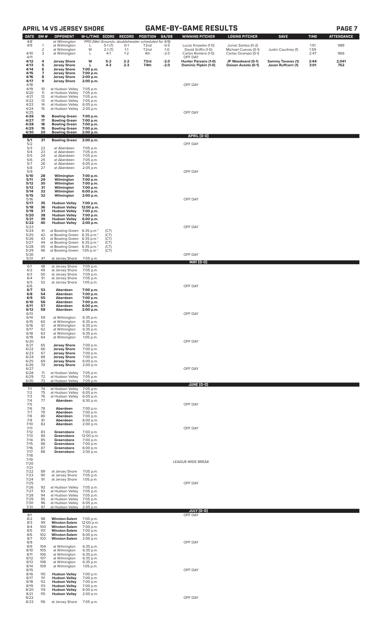# **APRIL 14 VS JERSEY SHORE GAME-BY-GAME RESULTS**

| <b>DATE</b>  | GM#        | <b>OPPONENT</b>                                 | W-L/TIME SCORE           |                      | <b>RECORD</b>                                     | POSITION                               | GA/GB            | <b>WINNING PITCHER</b>                       | <b>LOSING PITCHER</b>                       | <b>SAVE</b>                                    | <b>TIME</b>  | <b>ATTENDANCE</b> |
|--------------|------------|-------------------------------------------------|--------------------------|----------------------|---------------------------------------------------|----------------------------------------|------------------|----------------------------------------------|---------------------------------------------|------------------------------------------------|--------------|-------------------|
| 4/8          |            | at Wilmington                                   |                          |                      | PPD (Wet Grounds; doubleheader scheduled for 4/9) |                                        |                  |                                              |                                             |                                                |              |                   |
| 4/9          | 1<br>2     | at Wilmington<br>at Wilmington                  | L<br>W                   | $5-1(7)$<br>$2-1(7)$ | $0-1$<br>$1 - 1$                                  | T <sub>2</sub> nd<br>T <sub>2</sub> nd | $-0.5$<br>$-1.0$ | Lucas Knowles (1-0)<br>David Griffin (1-0)   | Junior Santos (0-2)<br>Michael Cuevas (0-1) | Justin Courtney (1)                            | 1:51<br>1:59 | 989               |
| 4/10<br>4/11 | 3          | at Wilmington                                   | L                        | $4-1$                | $1 - 2$                                           | 4th                                    | $-2.0$           | Carlos Romero (1-0)<br>OFF DAY               | Carlos Ocampo (0-1)                         |                                                | 2:47         | 966               |
| 4/12<br>4/13 | 4<br>5     | <b>Jersey Shore</b><br><b>Jersey Shore</b>      | W<br>L                   | $5 - 2$<br>$4-3$     | $2 - 2$<br>$2 - 3$                                | T3rd<br>T4th                           | $-2.0$<br>$-2.0$ | Hunter Parsons (1-0)<br>Dominic Pipkin (1-0) | JP Woodward (0-1)<br>Daison Acosta (0-1)    | <b>Sammy Tavares (1)</b><br>Jason Ruffcorn (1) | 2:44<br>3:01 | 2,041<br>752      |
| 4/14<br>4/15 | 6<br>7     | <b>Jersey Shore</b><br><b>Jersey Shore</b>      | 7:00 p.m.<br>7:00 p.m.   |                      |                                                   |                                        |                  |                                              |                                             |                                                |              |                   |
| 4/16<br>4/17 | 8<br>9     | <b>Jersey Shore</b><br><b>Jersey Shore</b>      | 2:00 p.m.<br>2:00 p.m.   |                      |                                                   |                                        |                  |                                              |                                             |                                                |              |                   |
| 4/18<br>4/19 | 10         | at Hudson Valley                                | 7:05 p.m.                |                      |                                                   |                                        |                  | OFF DAY                                      |                                             |                                                |              |                   |
| 4/20<br>4/21 | 11<br>12   | at Hudson Valley<br>at Hudson Valley            | 7:05 p.m.<br>7:05 p.m.   |                      |                                                   |                                        |                  |                                              |                                             |                                                |              |                   |
| 4/22         | 13         | at Hudson Valley                                | 7:05 p.m.                |                      |                                                   |                                        |                  |                                              |                                             |                                                |              |                   |
| 4/23<br>4/24 | 14<br>15   | at Hudson Valley<br>at Hudson Valley            | 6:05 p.m.<br>2:05 p.m.   |                      |                                                   |                                        |                  |                                              |                                             |                                                |              |                   |
| 4/25<br>4/26 | 16         | <b>Bowling Green</b>                            | 7:00 p.m.                |                      |                                                   |                                        |                  | OFF DAY                                      |                                             |                                                |              |                   |
| 4/27<br>4/28 | 17<br>18   | <b>Bowling Green</b><br><b>Bowling Green</b>    | 7:00 p.m.<br>7:00 p.m.   |                      |                                                   |                                        |                  |                                              |                                             |                                                |              |                   |
| 4/29<br>4/30 | 19<br>20   | <b>Bowling Green</b><br><b>Bowling Green</b>    | 7:00 p.m.<br>2:00 p.m.   |                      |                                                   |                                        |                  |                                              |                                             |                                                |              |                   |
| 5/1          | 21         | <b>Bowling Green</b>                            | 2:00 p.m.                |                      |                                                   |                                        |                  | APRIL (0-0)                                  |                                             |                                                |              |                   |
| 5/2<br>5/3   | 22         | at Aberdeen                                     | 7:05 p.m.                |                      |                                                   |                                        |                  | OFF DAY                                      |                                             |                                                |              |                   |
| 5/4<br>5/5   | 23<br>24   | at Aberdeen<br>at Aberdeen                      | 7:05 p.m.<br>7:05 p.m.   |                      |                                                   |                                        |                  |                                              |                                             |                                                |              |                   |
| $5/6$<br>5/7 | 25<br>26   | at Aberdeen<br>at Aberdeen                      | 7:05 p.m.<br>6:05 p.m.   |                      |                                                   |                                        |                  |                                              |                                             |                                                |              |                   |
| 5/8<br>5/9   | 27         | at Aberdeen                                     | 2:05 p.m.                |                      |                                                   |                                        |                  | OFF DAY                                      |                                             |                                                |              |                   |
| 5/10<br>5/11 | 28<br>29   | Wilmington<br>Wilmington                        | 7:00 p.m.<br>7:00 p.m.   |                      |                                                   |                                        |                  |                                              |                                             |                                                |              |                   |
| 5/12<br>5/13 | 30<br>31   | Wilmington<br>Wilmington                        | 7:00 p.m.<br>7:00 p.m.   |                      |                                                   |                                        |                  |                                              |                                             |                                                |              |                   |
| 5/14<br>5/15 | 32<br>32   | Wilmington<br>Wilmington                        | 6:00 p.m.<br>2:00 p.m.   |                      |                                                   |                                        |                  |                                              |                                             |                                                |              |                   |
| 5/16<br>5/17 | 35         | <b>Hudson Valley</b>                            | 7:00 p.m.                |                      |                                                   |                                        |                  | OFF DAY                                      |                                             |                                                |              |                   |
| 5/18<br>5/19 | 36<br>37   | <b>Hudson Valley</b><br><b>Hudson Valley</b>    | 12:00 p.m.<br>7:00 p.m.  |                      |                                                   |                                        |                  |                                              |                                             |                                                |              |                   |
| 5/20         | 38         | <b>Hudson Valley</b>                            | 7:00 p.m.                |                      |                                                   |                                        |                  |                                              |                                             |                                                |              |                   |
| 5/21<br>5/22 | 39<br>40   | <b>Hudson Valley</b><br><b>Hudson Valley</b>    | 6:00 p.m.<br>2:00 p.m.   |                      |                                                   |                                        |                  |                                              |                                             |                                                |              |                   |
| 5/23<br>5/24 | 41         | at Bowling Green                                | 6:35 p.m.*               | (CT)                 |                                                   |                                        |                  | OFF DAY                                      |                                             |                                                |              |                   |
| 5/25<br>5/26 | 42<br>43   | at Bowling Green<br>at Bowling Green            | 6:35 p.m.*<br>6:35 p.m.* | (CT)<br>(CT)         |                                                   |                                        |                  |                                              |                                             |                                                |              |                   |
| 5/27<br>5/28 | 44<br>45   | at Bowling Green<br>at Bowling Green 6:35 p.m.* | $6:35$ p.m. $*$          | (CT)<br>(CT)         |                                                   |                                        |                  |                                              |                                             |                                                |              |                   |
| 5/29<br>5/30 | 46         | at Bowling Green 1:05 p.m.*                     |                          | (CT)                 |                                                   |                                        |                  | OFF DAY                                      |                                             |                                                |              |                   |
| 5/31         | 47         | at Jersey Shore                                 | 7:05 p.m.                |                      |                                                   |                                        |                  | MAY (0-0)                                    |                                             |                                                |              |                   |
| 6/1<br>6/2   | 48<br>49   | at Jersey Shore<br>at Jersey Shore              | 7:05 p.m.<br>7:05 p.m.   |                      |                                                   |                                        |                  |                                              |                                             |                                                |              |                   |
| 6/3<br>6/4   | 50<br>51   | at Jersey Shore<br>at Jersey Shore              | 7:05 p.m.<br>7:05 p.m.   |                      |                                                   |                                        |                  |                                              |                                             |                                                |              |                   |
| 6/5<br>6/6   | 52         | at Jersey Shore                                 | 1:05 p.m.                |                      |                                                   |                                        |                  | OFF DAY                                      |                                             |                                                |              |                   |
| 6/7<br>6/8   | 53<br>54   | Aberdeen<br>Aberdeen                            | 7:00 p.m.<br>7:00 p.m.   |                      |                                                   |                                        |                  |                                              |                                             |                                                |              |                   |
| 6/9<br>6/10  | 55<br>56   | Aberdeen<br>Aberdeen                            | 7:00 p.m.<br>7:00 p.m.   |                      |                                                   |                                        |                  |                                              |                                             |                                                |              |                   |
| 6/11<br>6/12 | 57<br>58   | Aberdeen<br>Aberdeen                            | 6:00 p.m.<br>2:00 p.m.   |                      |                                                   |                                        |                  |                                              |                                             |                                                |              |                   |
| 6/13<br>6/14 |            |                                                 | 6:35 p.m.                |                      |                                                   |                                        |                  | OFF DAY                                      |                                             |                                                |              |                   |
| 6/15         | 59<br>60   | at Wilmington<br>at Wilmington                  | 6:35 p.m.                |                      |                                                   |                                        |                  |                                              |                                             |                                                |              |                   |
| 6/16<br>6/17 | 61<br>62   | at Wilmington<br>at Wilmington                  | 6:35 p.m.<br>6:35 p.m.   |                      |                                                   |                                        |                  |                                              |                                             |                                                |              |                   |
| 6/18<br>6/19 | 63<br>64   | at Wilmington<br>at Wilmington                  | 6:35 p.m.<br>1:05 p.m.   |                      |                                                   |                                        |                  |                                              |                                             |                                                |              |                   |
| 6/20<br>6/21 | 65         | <b>Jersey Shore</b>                             | 7:00 p.m.                |                      |                                                   |                                        |                  | OFF DAY                                      |                                             |                                                |              |                   |
| 6/22<br>6/23 | 66<br>67   | <b>Jersey Shore</b><br><b>Jersey Shore</b>      | 7:00 p.m.<br>7:00 p.m.   |                      |                                                   |                                        |                  |                                              |                                             |                                                |              |                   |
| 6/24<br>6/25 | 68<br>69   | <b>Jersey Shore</b><br><b>Jersey Shore</b>      | 7:00 p.m.<br>6:00 p.m.   |                      |                                                   |                                        |                  |                                              |                                             |                                                |              |                   |
| 6/26<br>6/27 | 70         | <b>Jersey Shore</b>                             | 2:00 p.m.                |                      |                                                   |                                        |                  | OFF DAY                                      |                                             |                                                |              |                   |
| 6/28<br>6/29 | 71<br>72   | at Hudson Valley<br>at Hudson Valley            | 7:05 p.m.<br>7:05 p.m.   |                      |                                                   |                                        |                  |                                              |                                             |                                                |              |                   |
| 6/30         | 73         | at Hudson Valley                                | 7:05 p.m.                |                      |                                                   |                                        |                  | <b>JUNE (0-0)</b>                            |                                             |                                                |              |                   |
| 7/1<br>7/2   | 74<br>75   | at Hudson Valley<br>at Hudson Valley            | 7:05 p.m.<br>6:05 p.m.   |                      |                                                   |                                        |                  |                                              |                                             |                                                |              |                   |
| 7/3<br>7/4   | 76<br>77   | at Hudson Valley<br>Aberdeen                    | 6:05 p.m.<br>6:30 p.m.   |                      |                                                   |                                        |                  |                                              |                                             |                                                |              |                   |
| 7/5<br>7/6   | 78         | Aberdeen                                        | 7:00 p.m.                |                      |                                                   |                                        |                  | OFF DAY                                      |                                             |                                                |              |                   |
| 7/7<br>7/8   | 79<br>80   | Aberdeen<br>Aberdeen                            | 7:00 p.m.<br>7:00 p.m.   |                      |                                                   |                                        |                  |                                              |                                             |                                                |              |                   |
| 7/9<br>7/10  | 81<br>82   | Aberdeen<br>Aberdeen                            | 6:00 p.m.<br>2:00 p.m.   |                      |                                                   |                                        |                  |                                              |                                             |                                                |              |                   |
| 7/11<br>7/12 | 83         | Greensboro                                      | 7:00 p.m.                |                      |                                                   |                                        |                  | OFF DAY                                      |                                             |                                                |              |                   |
| 7/13<br>7/14 | 84<br>85   | Greensboro                                      | 12:00 p.m.               |                      |                                                   |                                        |                  |                                              |                                             |                                                |              |                   |
| 7/15         | 86         | Greensboro<br>Greensboro                        | 7:00 p.m.<br>7:00 p.m.   |                      |                                                   |                                        |                  |                                              |                                             |                                                |              |                   |
| 7/16<br>7/17 | 87<br>88   | Greensboro<br>Greensboro                        | 6:00 p.m.<br>2:00 p.m.   |                      |                                                   |                                        |                  |                                              |                                             |                                                |              |                   |
| 7/18<br>7/19 |            |                                                 |                          |                      |                                                   |                                        |                  | LEAGUE-WIDE BREAK                            |                                             |                                                |              |                   |
| 7/20<br>7/21 |            |                                                 |                          |                      |                                                   |                                        |                  |                                              |                                             |                                                |              |                   |
| 7/22<br>7/23 | 89<br>90   | at Jersey Shore<br>at Jersey Shore              | 7:05 p.m.<br>7:05 p.m.   |                      |                                                   |                                        |                  |                                              |                                             |                                                |              |                   |
| 7/24<br>7/25 | 91         | at Jersey Shore                                 | 1:05 p.m.                |                      |                                                   |                                        |                  | OFF DAY                                      |                                             |                                                |              |                   |
| 7/26<br>7/27 | 92<br>93   | at Hudson Valley<br>at Hudson Valley            | 7:05 p.m.<br>7:05 p.m.   |                      |                                                   |                                        |                  |                                              |                                             |                                                |              |                   |
| 7/28<br>7/29 | 94<br>95   | at Hudson Valley<br>at Hudson Valley            | 7:05 p.m.<br>7:05 p.m.   |                      |                                                   |                                        |                  |                                              |                                             |                                                |              |                   |
| 7/30<br>7/31 | 96<br>97   | at Hudson Valley<br>at Hudson Valley            | 6:05 p.m.<br>2:05 p.m.   |                      |                                                   |                                        |                  |                                              |                                             |                                                |              |                   |
| 8/1          |            |                                                 |                          |                      |                                                   |                                        |                  | <u>JULY (0-0)</u><br>OFF DAY                 |                                             |                                                |              |                   |
| 8/2<br>8/3   | 98<br>99   | <b>Winston-Salem</b><br><b>Winston-Salem</b>    | 7:00 p.m.<br>12:00 p.m.  |                      |                                                   |                                        |                  |                                              |                                             |                                                |              |                   |
| 8/4<br>8/5   | 100<br>101 | <b>Winston-Salem</b><br><b>Winston-Salem</b>    | 7:00 p.m.<br>7:00 p.m.   |                      |                                                   |                                        |                  |                                              |                                             |                                                |              |                   |
| 8/6<br>8/7   | 102<br>103 | <b>Winston-Salem</b><br><b>Winston-Salem</b>    | 6:00 p.m.<br>2:00 p.m.   |                      |                                                   |                                        |                  |                                              |                                             |                                                |              |                   |
| 8/8          |            |                                                 |                          |                      |                                                   |                                        |                  | OFF DAY                                      |                                             |                                                |              |                   |
| 8/9<br>8/10  | 104<br>105 | at Wilmington<br>at Wilmington                  | 6:35 p.m.<br>6:35 p.m.   |                      |                                                   |                                        |                  |                                              |                                             |                                                |              |                   |
| 8/11<br>8/12 | 106<br>107 | at Wilmington<br>at Wilmington                  | 6:35 p.m.<br>6:35 p.m.   |                      |                                                   |                                        |                  |                                              |                                             |                                                |              |                   |
| 8/13<br>8/14 | 108<br>109 | at Wilmington<br>at Wilmington                  | 6:35 p.m.<br>1:05 p.m.   |                      |                                                   |                                        |                  |                                              |                                             |                                                |              |                   |
| 8/15<br>8/16 | 110        | <b>Hudson Valley</b>                            | 7:00 p.m.                |                      |                                                   |                                        |                  | OFF DAY                                      |                                             |                                                |              |                   |
| 8/17<br>8/18 | 111<br>112 | <b>Hudson Valley</b><br><b>Hudson Valley</b>    | 7:00 p.m.<br>7:00 p.m.   |                      |                                                   |                                        |                  |                                              |                                             |                                                |              |                   |
| 8/19<br>8/20 | 113<br>114 | <b>Hudson Valley</b><br><b>Hudson Valley</b>    | 7:00 p.m.<br>6:00 p.m.   |                      |                                                   |                                        |                  |                                              |                                             |                                                |              |                   |
| 8/21<br>8/22 | 115        | <b>Hudson Valley</b>                            | 2:00 p.m.                |                      |                                                   |                                        |                  | OFF DAY                                      |                                             |                                                |              |                   |
| 8/23         | 116        | at Jersey Shore 7:05 p.m.                       |                          |                      |                                                   |                                        |                  |                                              |                                             |                                                |              |                   |